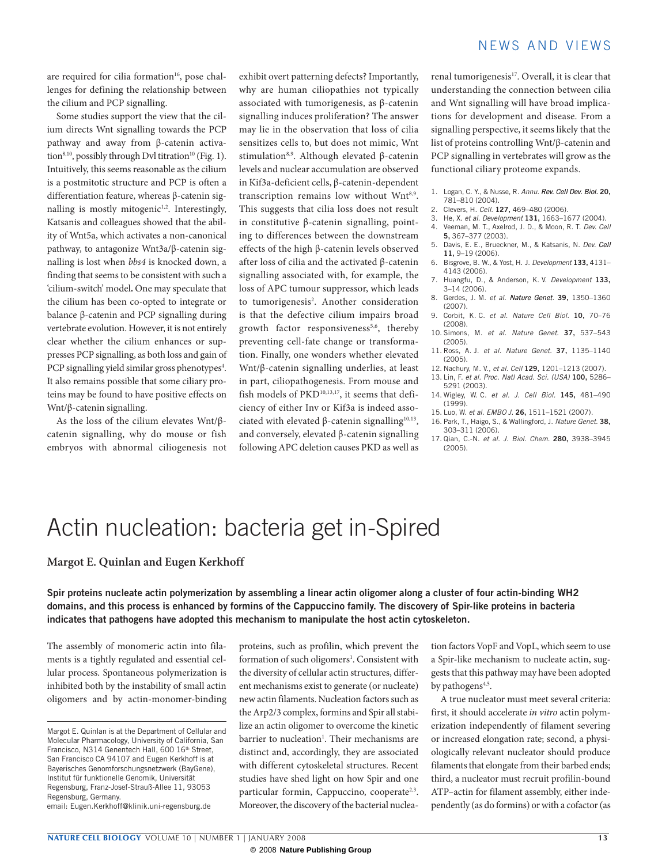are required for cilia formation<sup>16</sup>, pose challenges for defining the relationship between the cilium and PCP signalling.

Some studies support the view that the cilium directs Wnt signalling towards the PCP pathway and away from β-catenin activation<sup>8,10</sup>, possibly through Dvl titration<sup>10</sup> (Fig. 1). Intuitively, this seems reasonable as the cilium is a postmitotic structure and PCP is often a differentiation feature, whereas β-catenin signalling is mostly mitogenic<sup>1,2</sup>. Interestingly, Katsanis and colleagues showed that the ability of Wnt5a, which activates a non-canonical pathway, to antagonize Wnt3a/β-catenin signalling is lost when *bbs4* is knocked down, a finding that seems to be consistent with such a 'cilium-switch' model**.** One may speculate that the cilium has been co-opted to integrate or balance β-catenin and PCP signalling during vertebrate evolution. However, it is not entirely clear whether the cilium enhances or suppresses PCP signalling, as both loss and gain of PCP signalling yield similar gross phenotypes<sup>4</sup>. It also remains possible that some ciliary proteins may be found to have positive effects on Wnt/β-catenin signalling.

As the loss of the cilium elevates Wnt/βcatenin signalling, why do mouse or fish embryos with abnormal ciliogenesis not exhibit overt patterning defects? Importantly, why are human ciliopathies not typically associated with tumorigenesis, as β-catenin signalling induces proliferation? The answer may lie in the observation that loss of cilia sensitizes cells to, but does not mimic, Wnt stimulation8,9. Although elevated β-catenin levels and nuclear accumulation are observed in Kif3a-deficient cells, β-catenin-dependent transcription remains low without Wnt<sup>8,9</sup>. This suggests that cilia loss does not result in constitutive β-catenin signalling, pointing to differences between the downstream effects of the high β-catenin levels observed after loss of cilia and the activated β-catenin signalling associated with, for example, the loss of APC tumour suppressor, which leads to tumorigenesis<sup>2</sup>. Another consideration is that the defective cilium impairs broad growth factor responsiveness<sup>5,6</sup>, thereby preventing cell-fate change or transformation. Finally, one wonders whether elevated Wnt/β-catenin signalling underlies, at least in part, ciliopathogenesis. From mouse and fish models of PKD<sup>10,13,17</sup>, it seems that deficiency of either Inv or Kif3a is indeed associated with elevated β-catenin signalling<sup>10,13</sup>, and conversely, elevated β-catenin signalling following APC deletion causes PKD as well as

## NFWS AND VIFWS

renal tumorigenesis<sup>17</sup>. Overall, it is clear that understanding the connection between cilia and Wnt signalling will have broad implications for development and disease. From a signalling perspective, it seems likely that the list of proteins controlling Wnt/β-catenin and PCP signalling in vertebrates will grow as the functional ciliary proteome expands.

- 1. Logan, C. Y., & Nusse, R. *Annu. Rev. Cell Dev. Biol.* **20,** 781–810 (2004).
- 2. Clevers, H. *Cell*. **127,** 469–480 (2006).
- 3. He, X. *et al. Development* **131,** 1663–1677 (2004).
- 4. Veeman, M. T., Axelrod, J. D., & Moon, R. T. *Dev. Cell* **5,** 367–377 (2003).
- 5. Davis, E. E., Brueckner, M., & Katsanis, N. *Dev.*  **11,** 9–19 (2006).
- 6. Bisgrove, B. W., & Yost, H. J. *Development* **133,** 4131– 4143 (2006).
- 7. Huangfu, D., & Anderson, K. V. *Development* **133,** 3–14 (2006).
- 8. Gerdes, J. M. *et al. Nature Genet*. **39,** 1350–1360 (2007).
- 9. Corbit, K. C. *et al. Nature Cell Biol.* **10,** 70–76 (2008).
- 10. Simons, M. *et al. Nature Genet*. **37,** 537–543 (2005).
- 11. Ross, A. J. *et al. Nature Genet*. **37,** 1135–1140 (2005).
- 12. Nachury, M. V., *et al. Cell* **129,** 1201–1213 (2007).
- 13. Lin, F. *et al. Proc. Natl Acad. Sci. (USA)* **100,** 5286– 5291 (2003).
- 14. Wigley, W. C. *et al. J. Cell Biol.* **145,** 481–490 (1999).
- 15. Luo, W. *et al. EMBO J*. **26,** 1511–1521 (2007).
- 16. Park, T., Haigo, S., & Wallingford, J. *Nature Genet*. **38,** 303–311 (2006).
- 17. Qian, C.-N. *et al. J. Biol. Chem.* **280,** 3938–3945  $(2005)$

# Actin nucleation: bacteria get in-Spired

#### **Margot E. Quinlan and Eugen Kerkhoff**

**Spir proteins nucleate actin polymerization by assembling a linear actin oligomer along a cluster of four actin-binding WH2 domains, and this process is enhanced by formins of the Cappuccino family. The discovery of Spir-like proteins in bacteria indicates that pathogens have adopted this mechanism to manipulate the host actin cytoskeleton.**

The assembly of monomeric actin into filaments is a tightly regulated and essential cellular process. Spontaneous polymerization is inhibited both by the instability of small actin oligomers and by actin-monomer-binding proteins, such as profilin, which prevent the formation of such oligomers<sup>1</sup>. Consistent with the diversity of cellular actin structures, different mechanisms exist to generate (or nucleate) new actin filaments. Nucleation factors such as the Arp2/3 complex, formins and Spir all stabilize an actin oligomer to overcome the kinetic barrier to nucleation<sup>1</sup>. Their mechanisms are distinct and, accordingly, they are associated with different cytoskeletal structures. Recent studies have shed light on how Spir and one particular formin, Cappuccino, cooperate<sup>2,3</sup>. Moreover, the discovery of the bacterial nuclea-

tion factors VopF and VopL, which seem to use a Spir-like mechanism to nucleate actin, suggests that this pathway may have been adopted by pathogens<sup>4,5</sup>.

A true nucleator must meet several criteria: first, it should accelerate *in vitro* actin polymerization independently of filament severing or increased elongation rate; second, a physiologically relevant nucleator should produce filaments that elongate from their barbed ends; third, a nucleator must recruit profilin-bound ATP–actin for filament assembly, either independently (as do formins) or with a cofactor (as

Margot E. Quinlan is at the Department of Cellular and Molecular Pharmacology, University of California, San Francisco, N314 Genentech Hall, 600 16<sup>th</sup> Street, San Francisco CA 94107 and Eugen Kerkhoff is at Bayerisches Genomforschungsnetzwerk (BayGene), Institut für funktionelle Genomik, Universität Regensburg, Franz-Josef-Strauß-Allee 11, 93053 Regensburg, Germany.

email: [Eugen.Kerkhoff@klinik.uni-regensburg.de](mailto:Eugen.Kerkhoff@klinik.uni-regensburg.de)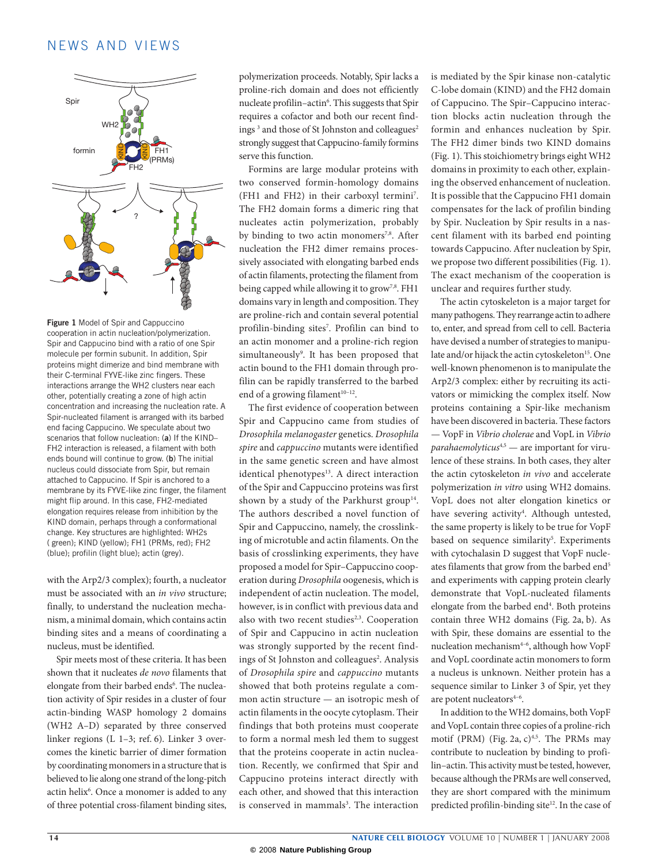### NFWS AND VIFWS



**Figure 1** Model of Spir and Cappuccino cooperation in actin nucleation/polymerization. Spir and Cappucino bind with a ratio of one Spir molecule per formin subunit. In addition, Spir proteins might dimerize and bind membrane with their C-terminal FYVE-like zinc fingers. These interactions arrange the WH2 clusters near each other, potentially creating a zone of high actin concentration and increasing the nucleation rate. A Spir-nucleated filament is arranged with its barbed end facing Cappucino. We speculate about two scenarios that follow nucleation: (**a**) If the KIND– FH2 interaction is released, a filament with both ends bound will continue to grow. (**b**) The initial nucleus could dissociate from Spir, but remain attached to Cappucino. If Spir is anchored to a membrane by its FYVE-like zinc finger, the filament might flip around. In this case, FH2-mediated elongation requires release from inhibition by the KIND domain, perhaps through a conformational change. Key structures are highlighted: WH2s ( green); KIND (yellow); FH1 (PRMs, red); FH2 (blue); profilin (light blue); actin (grey).

with the Arp2/3 complex); fourth, a nucleator must be associated with an *in vivo* structure; finally, to understand the nucleation mechanism, a minimal domain, which contains actin binding sites and a means of coordinating a nucleus, must be identified.

Spir meets most of these criteria. It has been shown that it nucleates *de novo* filaments that elongate from their barbed ends<sup>6</sup>. The nucleation activity of Spir resides in a cluster of four actin-binding WASP homology 2 domains (WH2 A–D) separated by three conserved linker regions (L 1–3; ref. 6). Linker 3 overcomes the kinetic barrier of dimer formation by coordinating monomers in a structure that is believed to lie along one strand of the long-pitch actin helix<sup>6</sup>. Once a monomer is added to any of three potential cross-filament binding sites,

polymerization proceeds. Notably, Spir lacks a proline-rich domain and does not efficiently nucleate profilin–actin<sup>6</sup>. This suggests that Spir requires a cofactor and both our recent findings<sup>3</sup> and those of St Johnston and colleagues<sup>2</sup> strongly suggest that Cappucino-family formins serve this function.

Formins are large modular proteins with two conserved formin-homology domains (FH1 and FH2) in their carboxyl termini7 . The FH2 domain forms a dimeric ring that nucleates actin polymerization, probably by binding to two actin monomers<sup>7,8</sup>. After nucleation the FH2 dimer remains processively associated with elongating barbed ends of actin filaments, protecting the filament from being capped while allowing it to grow<sup>7,8</sup>. FH1 domains vary in length and composition. They are proline-rich and contain several potential profilin-binding sites7 . Profilin can bind to an actin monomer and a proline-rich region simultaneously9 . It has been proposed that actin bound to the FH1 domain through profilin can be rapidly transferred to the barbed end of a growing filament $10-12$ .

The first evidence of cooperation between Spir and Cappucino came from studies of *Drosophila melanogaster* genetics. *Drosophila spire* and *cappuccino* mutants were identified in the same genetic screen and have almost identical phenotypes<sup>13</sup>. A direct interaction of the Spir and Cappuccino proteins was first shown by a study of the Parkhurst group<sup>14</sup>. The authors described a novel function of Spir and Cappuccino, namely, the crosslinking of microtuble and actin filaments. On the basis of crosslinking experiments, they have proposed a model for Spir–Cappuccino cooperation during *Drosophila* oogenesis, which is independent of actin nucleation. The model, however, is in conflict with previous data and also with two recent studies<sup>2,3</sup>. Cooperation of Spir and Cappucino in actin nucleation was strongly supported by the recent findings of St Johnston and colleagues<sup>2</sup>. Analysis of *Drosophila spire* and *cappuccino* mutants showed that both proteins regulate a common actin structure — an isotropic mesh of actin filaments in the oocyte cytoplasm. Their findings that both proteins must cooperate to form a normal mesh led them to suggest that the proteins cooperate in actin nucleation. Recently, we confirmed that Spir and Cappucino proteins interact directly with each other, and showed that this interaction is conserved in mammals<sup>3</sup>. The interaction

is mediated by the Spir kinase non-catalytic C-lobe domain (KIND) and the FH2 domain of Cappucino. The Spir–Cappucino interaction blocks actin nucleation through the formin and enhances nucleation by Spir. The FH2 dimer binds two KIND domains (Fig. 1). This stoichiometry brings eight WH2 domains in proximity to each other, explaining the observed enhancement of nucleation. It is possible that the Cappucino FH1 domain compensates for the lack of profilin binding by Spir. Nucleation by Spir results in a nascent filament with its barbed end pointing towards Cappucino. After nucleation by Spir, we propose two different possibilities (Fig. 1). The exact mechanism of the cooperation is unclear and requires further study.

The actin cytoskeleton is a major target for many pathogens. They rearrange actin to adhere to, enter, and spread from cell to cell. Bacteria have devised a number of strategies to manipulate and/or hijack the actin cytoskeleton<sup>15</sup>. One well-known phenomenon is to manipulate the Arp2/3 complex: either by recruiting its activators or mimicking the complex itself. Now proteins containing a Spir-like mechanism have been discovered in bacteria. These factors — VopF in *Vibrio cholerae* and VopL in *Vibrio parahaemolyticus*4,5 — are important for virulence of these strains. In both cases, they alter the actin cytoskeleton *in vivo* and accelerate polymerization *in vitro* using WH2 domains. VopL does not alter elongation kinetics or have severing activity<sup>4</sup>. Although untested, the same property is likely to be true for VopF based on sequence similarity<sup>5</sup>. Experiments with cytochalasin D suggest that VopF nucleates filaments that grow from the barbed end<sup>5</sup> and experiments with capping protein clearly demonstrate that VopL-nucleated filaments elongate from the barbed end<sup>4</sup>. Both proteins contain three WH2 domains (Fig. 2a, b). As with Spir, these domains are essential to the nucleation mechanism4–6, although how VopF and VopL coordinate actin monomers to form a nucleus is unknown. Neither protein has a sequence similar to Linker 3 of Spir, yet they are potent nucleators $4-6$ .

In addition to the WH2 domains, both VopF and VopL contain three copies of a proline-rich motif (PRM) (Fig. 2a,  $c$ )<sup>4,5</sup>. The PRMs may contribute to nucleation by binding to profilin–actin. This activity must be tested, however, because although the PRMs are well conserved, they are short compared with the minimum predicted profilin-binding site<sup>12</sup>. In the case of